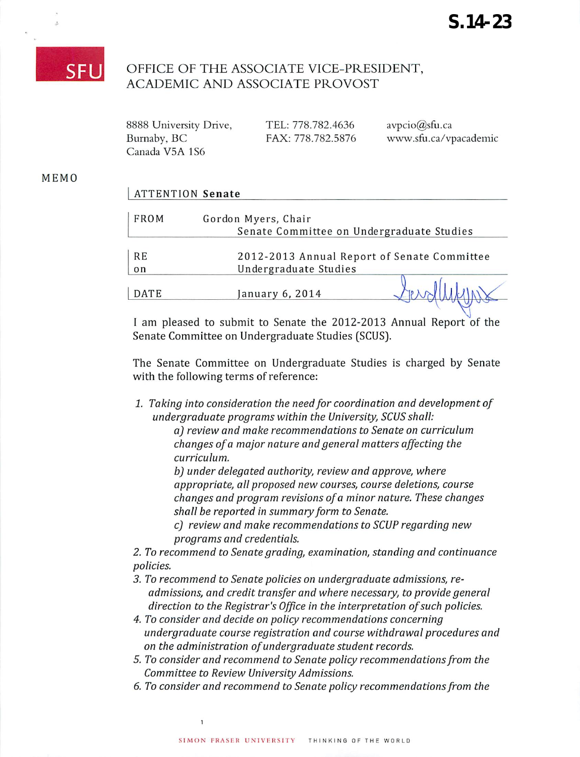## **SFL**

 $\overline{z}$ 

## OFFICE OF THE ASSOCIATE VICE-PRESIDENT, ACADEMIC AND ASSOCIATE PROVOST

| 8888 University Drive, | TEL: 778.782.4636 | $\text{avpcio}(\hat{\textbf{\omega}})$ sfu.ca |
|------------------------|-------------------|-----------------------------------------------|
| Burnaby, BC            | FAX: 778.782.5876 | www.sfu.ca/vpacademic                         |
| Canada V5A 1S6         |                   |                                               |

## MEMO

| <b>ATTENTION Senate</b> |  |
|-------------------------|--|
|-------------------------|--|

| <b>FROM</b> | Gordon Myers, Chair<br>Senate Committee on Undergraduate Studies |
|-------------|------------------------------------------------------------------|
| <b>RE</b>   | 2012-2013 Annual Report of Senate Committee                      |
| on          | Undergraduate Studies                                            |
| DATE        | anuary 6, 2014)                                                  |

I am pleased to submit to Senate the 2012-2013 Annual Report of the Senate Committee on Undergraduate Studies (SCUS).

The Senate Committee on Undergraduate Studies is charged by Senate with the following terms of reference:

**1. Taking into consideration the need for coordination and development of undergraduate programs within the University, SCUS shall:**

> **a) review and make recommendations to Senate on curriculum changes ofa major nature and general matters affecting the curriculum.**

**b) under delegated authority, review and approve, where appropriate, all proposed new courses, course deletions, course changes and program revisions ofa minor nature. These changes shall be reported in summaryform to Senate.**

**c) review and make recommendations to SCUP regarding new programs and credentials.**

**2. To recommend to Senate grading, examination, standing and continuance policies.**

- **3. To recommend to Senate policies on undergraduate admissions, readmissions, and credit transfer and where necessary, to provide general direction to the Registrar's Office in the interpretation ofsuch policies.**
- **4. To consider and decide on policy recommendations concerning undergraduate course registration and course withdrawal procedures and on the administration ofundergraduate student records.**
- **5. To consider and recommend to Senate policy recommendationsfrom the Committee to Review University Admissions.**
- **6. To consider and recommend to Senate policy recommendationsfrom the**

 $\mathbf 1$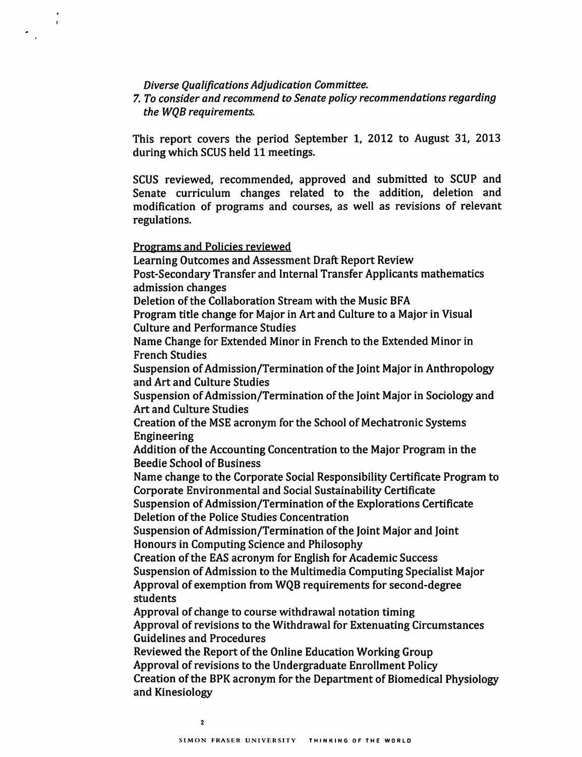*Diverse Qualifications Adjudication Committee.*

*7. To consider and recommend to Senate policy recommendations regarding the WQB requirements.*

*This report covers the period September 1, 2012 to August 31, 2013 during which SCUS held 11 meetings.*

*SCUS reviewed, recommended, approved and submitted to SCUP and Senate curriculum changes related to the addition, deletion and modification of programs and courses, as well as revisions of relevant regulations.*

*Programs and Policies reviewed*

 $\pmb{\cdot}$ 

*Learning Outcomes and Assessment Draft Report Review Post-Secondary Transfer and Internal Transfer Applicants mathematics admission changes Deletion ofthe Collaboration Stream with the Music BFA Program title change for Major in Art and Culture to a Major in Visual Culture and Performance Studies Name Change for Extended Minor in French to the Extended Minor in French Studies Suspension ofAdmission/Termination ofthe Joint Major in Anthropology and Art and Culture Studies Suspension ofAdmission/Termination ofthe Joint Major in Sociology and Art and Culture Studies Creation ofthe MSE acronym for the School of Mechatronic Systems Engineering Addition ofthe Accounting Concentration to the Major Program in the Beedie School of Business Name change to the Corporate Social Responsibility Certificate Program to Corporate Environmental and Social Sustainability Certificate Suspension ofAdmission/Termination ofthe Explorations Certificate Deletion ofthe Police Studies Concentration Suspension ofAdmission/Termination ofthe Joint Major and Joint Honours in Computing Science and Philosophy Creation ofthe EAS acronym for English for Academic Success Suspension ofAdmission to the Multimedia Computing Specialist Major Approval of exemption from WQB requirements for second-degree students Approval of change to course withdrawal notation timing Approval ofrevisions to the Withdrawal for Extenuating Circumstances Guidelines and Procedures Reviewed the Report ofthe Online Education Working Group Approval ofrevisions to the Undergraduate Enrollment Policy Creation ofthe BPKacronym for the Department of Biomedical Physiology and Kinesiology*